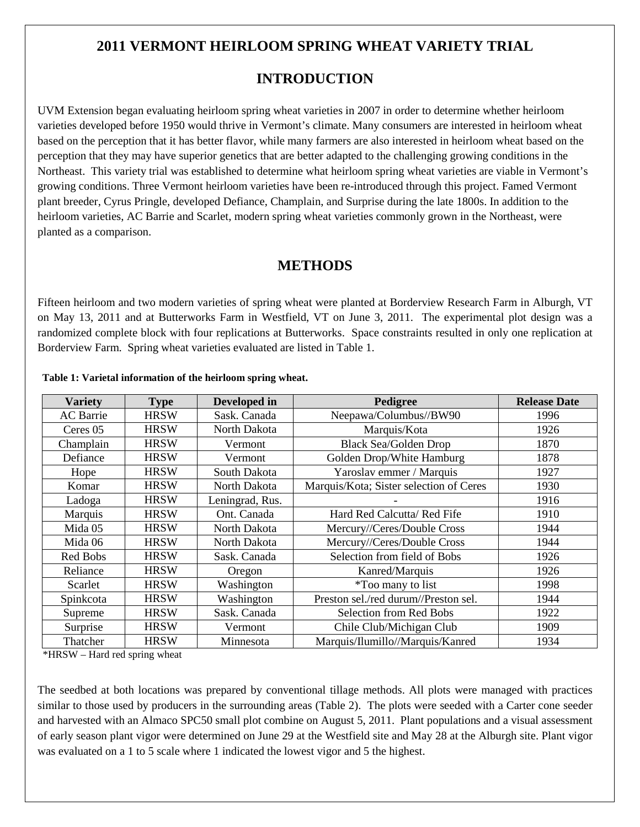# **2011 VERMONT HEIRLOOM SPRING WHEAT VARIETY TRIAL**

# **INTRODUCTION**

UVM Extension began evaluating heirloom spring wheat varieties in 2007 in order to determine whether heirloom varieties developed before 1950 would thrive in Vermont's climate. Many consumers are interested in heirloom wheat based on the perception that it has better flavor, while many farmers are also interested in heirloom wheat based on the perception that they may have superior genetics that are better adapted to the challenging growing conditions in the Northeast. This variety trial was established to determine what heirloom spring wheat varieties are viable in Vermont's growing conditions. Three Vermont heirloom varieties have been re-introduced through this project. Famed Vermont plant breeder, Cyrus Pringle, developed Defiance, Champlain, and Surprise during the late 1800s. In addition to the heirloom varieties, AC Barrie and Scarlet, modern spring wheat varieties commonly grown in the Northeast, were planted as a comparison.

### **METHODS**

Fifteen heirloom and two modern varieties of spring wheat were planted at Borderview Research Farm in Alburgh, VT on May 13, 2011 and at Butterworks Farm in Westfield, VT on June 3, 2011. The experimental plot design was a randomized complete block with four replications at Butterworks. Space constraints resulted in only one replication at Borderview Farm. Spring wheat varieties evaluated are listed in Table 1.

| <b>Variety</b>   | <b>Type</b> | Developed in    | Pedigree                                | <b>Release Date</b> |
|------------------|-------------|-----------------|-----------------------------------------|---------------------|
| <b>AC</b> Barrie | <b>HRSW</b> | Sask. Canada    | Neepawa/Columbus//BW90                  | 1996                |
| Ceres 05         | <b>HRSW</b> | North Dakota    | Marquis/Kota                            | 1926                |
| Champlain        | <b>HRSW</b> | Vermont         | <b>Black Sea/Golden Drop</b>            | 1870                |
| Defiance         | <b>HRSW</b> | Vermont         | Golden Drop/White Hamburg               | 1878                |
| Hope             | <b>HRSW</b> | South Dakota    | Yaroslav emmer / Marquis                | 1927                |
| Komar            | <b>HRSW</b> | North Dakota    | Marquis/Kota; Sister selection of Ceres | 1930                |
| Ladoga           | <b>HRSW</b> | Leningrad, Rus. |                                         | 1916                |
| Marquis          | <b>HRSW</b> | Ont. Canada     | Hard Red Calcutta/ Red Fife             | 1910                |
| Mida 05          | <b>HRSW</b> | North Dakota    | Mercury//Ceres/Double Cross             | 1944                |
| Mida 06          | <b>HRSW</b> | North Dakota    | Mercury//Ceres/Double Cross             | 1944                |
| Red Bobs         | <b>HRSW</b> | Sask. Canada    | Selection from field of Bobs            | 1926                |
| Reliance         | <b>HRSW</b> | Oregon          | Kanred/Marquis                          | 1926                |
| Scarlet          | <b>HRSW</b> | Washington      | <i>*Too many to list</i>                | 1998                |
| Spinkcota        | <b>HRSW</b> | Washington      | Preston sel./red durum//Preston sel.    | 1944                |
| Supreme          | <b>HRSW</b> | Sask. Canada    | <b>Selection from Red Bobs</b>          | 1922                |
| Surprise         | <b>HRSW</b> | Vermont         | Chile Club/Michigan Club                | 1909                |
| Thatcher         | <b>HRSW</b> | Minnesota       | Marquis/Ilumillo//Marquis/Kanred        | 1934                |

#### **Table 1: Varietal information of the heirloom spring wheat.**

\*HRSW – Hard red spring wheat

The seedbed at both locations was prepared by conventional tillage methods. All plots were managed with practices similar to those used by producers in the surrounding areas (Table 2). The plots were seeded with a Carter cone seeder and harvested with an Almaco SPC50 small plot combine on August 5, 2011. Plant populations and a visual assessment of early season plant vigor were determined on June 29 at the Westfield site and May 28 at the Alburgh site. Plant vigor was evaluated on a 1 to 5 scale where 1 indicated the lowest vigor and 5 the highest.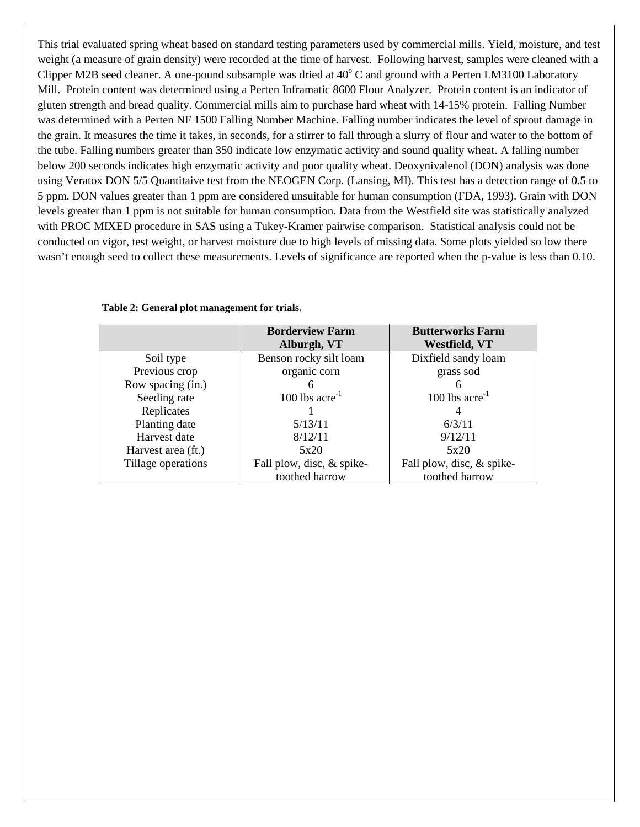This trial evaluated spring wheat based on standard testing parameters used by commercial mills. Yield, moisture, and test weight (a measure of grain density) were recorded at the time of harvest. Following harvest, samples were cleaned with a Clipper M2B seed cleaner. A one-pound subsample was dried at  $40^{\circ}$  C and ground with a Perten LM3100 Laboratory Mill. Protein content was determined using a Perten Inframatic 8600 Flour Analyzer. Protein content is an indicator of gluten strength and bread quality. Commercial mills aim to purchase hard wheat with 14-15% protein. Falling Number was determined with a Perten NF 1500 Falling Number Machine. Falling number indicates the level of sprout damage in the grain. It measures the time it takes, in seconds, for a stirrer to fall through a slurry of flour and water to the bottom of the tube. Falling numbers greater than 350 indicate low enzymatic activity and sound quality wheat. A falling number below 200 seconds indicates high enzymatic activity and poor quality wheat. Deoxynivalenol (DON) analysis was done using Veratox DON 5/5 Quantitaive test from the NEOGEN Corp. (Lansing, MI). This test has a detection range of 0.5 to 5 ppm. DON values greater than 1 ppm are considered unsuitable for human consumption (FDA, 1993). Grain with DON levels greater than 1 ppm is not suitable for human consumption. Data from the Westfield site was statistically analyzed with PROC MIXED procedure in SAS using a Tukey-Kramer pairwise comparison. Statistical analysis could not be conducted on vigor, test weight, or harvest moisture due to high levels of missing data. Some plots yielded so low there wasn't enough seed to collect these measurements. Levels of significance are reported when the p-value is less than 0.10.

|                    | <b>Borderview Farm</b><br>Alburgh, VT | <b>Butterworks Farm</b><br><b>Westfield, VT</b> |
|--------------------|---------------------------------------|-------------------------------------------------|
| Soil type          | Benson rocky silt loam                | Dixfield sandy loam                             |
| Previous crop      | organic corn                          | grass sod                                       |
| Row spacing (in.)  |                                       |                                                 |
| Seeding rate       | $100$ lbs acre <sup>-1</sup>          | 100 lbs $\arccos 1$                             |
| Replicates         |                                       |                                                 |
| Planting date      | 5/13/11                               | 6/3/11                                          |
| Harvest date       | 8/12/11                               | 9/12/11                                         |
| Harvest area (ft.) | 5x20                                  | 5x20                                            |
| Tillage operations | Fall plow, disc, & spike-             | Fall plow, disc, & spike-                       |
|                    | toothed harrow                        | toothed harrow                                  |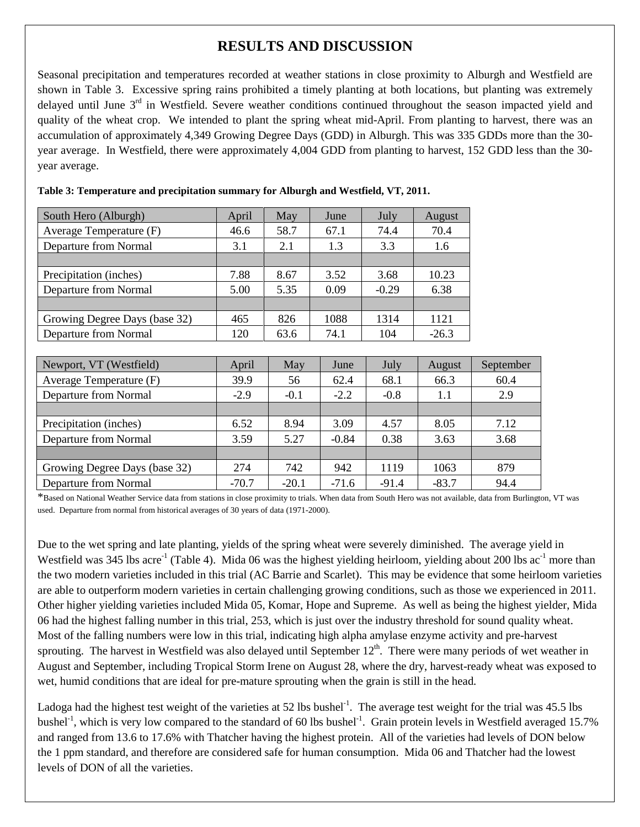# **RESULTS AND DISCUSSION**

Seasonal precipitation and temperatures recorded at weather stations in close proximity to Alburgh and Westfield are shown in Table 3. Excessive spring rains prohibited a timely planting at both locations, but planting was extremely delayed until June 3<sup>rd</sup> in Westfield. Severe weather conditions continued throughout the season impacted yield and quality of the wheat crop. We intended to plant the spring wheat mid-April. From planting to harvest, there was an accumulation of approximately 4,349 Growing Degree Days (GDD) in Alburgh. This was 335 GDDs more than the 30 year average. In Westfield, there were approximately 4,004 GDD from planting to harvest, 152 GDD less than the 30 year average.

| South Hero (Alburgh)          | April  | May    | June   | July    | August  |       |
|-------------------------------|--------|--------|--------|---------|---------|-------|
| Average Temperature (F)       | 46.6   | 58.7   | 67.1   | 74.4    | 70.4    |       |
| Departure from Normal         | 3.1    | 2.1    | 1.3    | 3.3     | 1.6     |       |
|                               |        |        |        |         |         |       |
| Precipitation (inches)        | 7.88   | 8.67   | 3.52   | 3.68    | 10.23   |       |
| Departure from Normal         | 5.00   | 5.35   | 0.09   | $-0.29$ | 6.38    |       |
|                               |        |        |        |         |         |       |
| Growing Degree Days (base 32) | 465    | 826    | 1088   | 1314    | 1121    |       |
| Departure from Normal         | 120    | 63.6   | 74.1   | 104     | $-26.3$ |       |
|                               |        |        |        |         |         |       |
| Newport, VT (Westfield)       | April  | May    | June   | July    | August  | $S_6$ |
| Average Temperature (F)       | 39.9   | 56     | 62.4   | 68.1    | 66.3    |       |
| Departure from Normal         | $-2.9$ | $-0.1$ | $-2.2$ | $-0.8$  | 1.1     |       |
|                               |        |        |        |         |         |       |

| Table 3: Temperature and precipitation summary for Alburgh and Westfield, VT, 2011. |  |
|-------------------------------------------------------------------------------------|--|

| Newport, VT (Westfield)       | April   | May     | June    | July    | August  | September |
|-------------------------------|---------|---------|---------|---------|---------|-----------|
| Average Temperature (F)       | 39.9    | 56      | 62.4    | 68.1    | 66.3    | 60.4      |
| Departure from Normal         | $-2.9$  | $-0.1$  | $-2.2$  | $-0.8$  | 1.1     | 2.9       |
|                               |         |         |         |         |         |           |
| Precipitation (inches)        | 6.52    | 8.94    | 3.09    | 4.57    | 8.05    | 7.12      |
| Departure from Normal         | 3.59    | 5.27    | $-0.84$ | 0.38    | 3.63    | 3.68      |
|                               |         |         |         |         |         |           |
| Growing Degree Days (base 32) | 274     | 742     | 942     | 1119    | 1063    | 879       |
| Departure from Normal         | $-70.7$ | $-20.1$ | $-71.6$ | $-91.4$ | $-83.7$ | 94.4      |

\*Based on National Weather Service data from stations in close proximity to trials. When data from South Hero was not available, data from Burlington, VT was used. Departure from normal from historical averages of 30 years of data (1971-2000).

Due to the wet spring and late planting, yields of the spring wheat were severely diminished. The average yield in Westfield was 345 lbs acre<sup>-1</sup> (Table 4). Mida 06 was the highest yielding heirloom, yielding about 200 lbs ac<sup>-1</sup> more than the two modern varieties included in this trial (AC Barrie and Scarlet). This may be evidence that some heirloom varieties are able to outperform modern varieties in certain challenging growing conditions, such as those we experienced in 2011. Other higher yielding varieties included Mida 05, Komar, Hope and Supreme. As well as being the highest yielder, Mida 06 had the highest falling number in this trial, 253, which is just over the industry threshold for sound quality wheat. Most of the falling numbers were low in this trial, indicating high alpha amylase enzyme activity and pre-harvest sprouting. The harvest in Westfield was also delayed until September 12<sup>th</sup>. There were many periods of wet weather in August and September, including Tropical Storm Irene on August 28, where the dry, harvest-ready wheat was exposed to wet, humid conditions that are ideal for pre-mature sprouting when the grain is still in the head.

Ladoga had the highest test weight of the varieties at 52 lbs bushel<sup>-1</sup>. The average test weight for the trial was 45.5 lbs bushel<sup>-1</sup>, which is very low compared to the standard of 60 lbs bushel<sup>-1</sup>. Grain protein levels in Westfield averaged 15.7% and ranged from 13.6 to 17.6% with Thatcher having the highest protein. All of the varieties had levels of DON below the 1 ppm standard, and therefore are considered safe for human consumption. Mida 06 and Thatcher had the lowest levels of DON of all the varieties.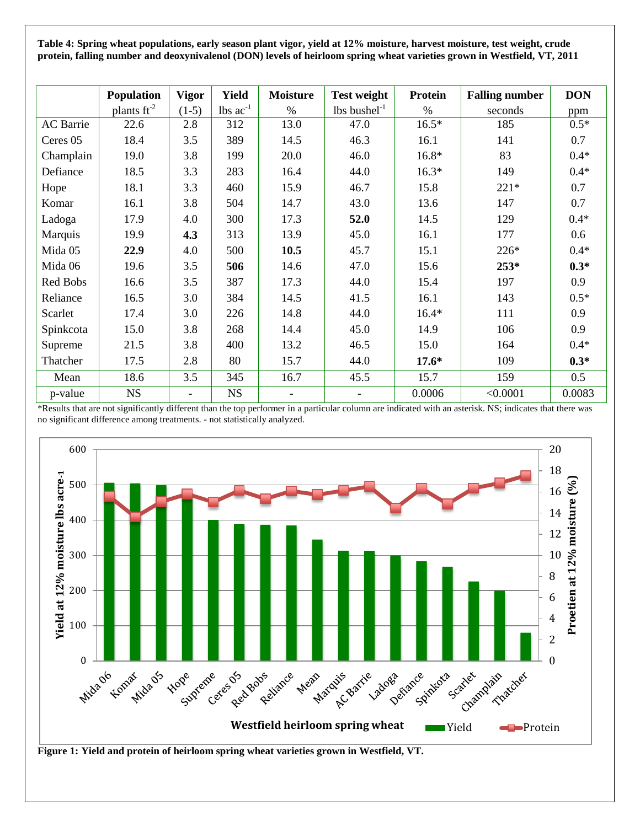**Table 4: Spring wheat populations, early season plant vigor, yield at 12% moisture, harvest moisture, test weight, crude protein, falling number and deoxynivalenol (DON) levels of heirloom spring wheat varieties grown in Westfield, VT, 2011**

|                  | Population       | <b>Vigor</b>             | <b>Yield</b>                  | <b>Moisture</b> | <b>Test weight</b>         | <b>Protein</b> | <b>Falling number</b> | <b>DON</b> |
|------------------|------------------|--------------------------|-------------------------------|-----------------|----------------------------|----------------|-----------------------|------------|
|                  | plants $ft^{-2}$ | $(1-5)$                  | $\text{ lbs } \text{ac}^{-1}$ | $\%$            | $lbs$ bushel <sup>-1</sup> | $\%$           | seconds               | ppm        |
| <b>AC</b> Barrie | 22.6             | 2.8                      | 312                           | 13.0            | 47.0                       | $16.5*$        | 185                   | $0.5*$     |
| Ceres 05         | 18.4             | 3.5                      | 389                           | 14.5            | 46.3                       | 16.1           | 141                   | 0.7        |
| Champlain        | 19.0             | 3.8                      | 199                           | 20.0            | 46.0                       | $16.8*$        | 83                    | $0.4*$     |
| Defiance         | 18.5             | 3.3                      | 283                           | 16.4            | 44.0                       | $16.3*$        | 149                   | $0.4*$     |
| Hope             | 18.1             | 3.3                      | 460                           | 15.9            | 46.7                       | 15.8           | $221*$                | 0.7        |
| Komar            | 16.1             | 3.8                      | 504                           | 14.7            | 43.0                       | 13.6           | 147                   | 0.7        |
| Ladoga           | 17.9             | 4.0                      | 300                           | 17.3            | 52.0                       | 14.5           | 129                   | $0.4*$     |
| Marquis          | 19.9             | 4.3                      | 313                           | 13.9            | 45.0                       | 16.1           | 177                   | 0.6        |
| Mida 05          | 22.9             | 4.0                      | 500                           | 10.5            | 45.7                       | 15.1           | 226*                  | $0.4*$     |
| Mida 06          | 19.6             | 3.5                      | 506                           | 14.6            | 47.0                       | 15.6           | $253*$                | $0.3*$     |
| Red Bobs         | 16.6             | 3.5                      | 387                           | 17.3            | 44.0                       | 15.4           | 197                   | 0.9        |
| Reliance         | 16.5             | 3.0                      | 384                           | 14.5            | 41.5                       | 16.1           | 143                   | $0.5*$     |
| Scarlet          | 17.4             | 3.0                      | 226                           | 14.8            | 44.0                       | $16.4*$        | 111                   | 0.9        |
| Spinkcota        | 15.0             | 3.8                      | 268                           | 14.4            | 45.0                       | 14.9           | 106                   | 0.9        |
| Supreme          | 21.5             | 3.8                      | 400                           | 13.2            | 46.5                       | 15.0           | 164                   | $0.4*$     |
| Thatcher         | 17.5             | 2.8                      | 80                            | 15.7            | 44.0                       | $17.6*$        | 109                   | $0.3*$     |
| Mean             | 18.6             | 3.5                      | 345                           | 16.7            | 45.5                       | 15.7           | 159                   | 0.5        |
| p-value          | <b>NS</b>        | $\overline{\phantom{a}}$ | <b>NS</b>                     | $\overline{a}$  |                            | 0.0006         | < 0.0001              | 0.0083     |

\*Results that are not significantly different than the top performer in a particular column are indicated with an asterisk. NS; indicates that there was no significant difference among treatments. - not statistically analyzed.



**Figure 1: Yield and protein of heirloom spring wheat varieties grown in Westfield, VT.**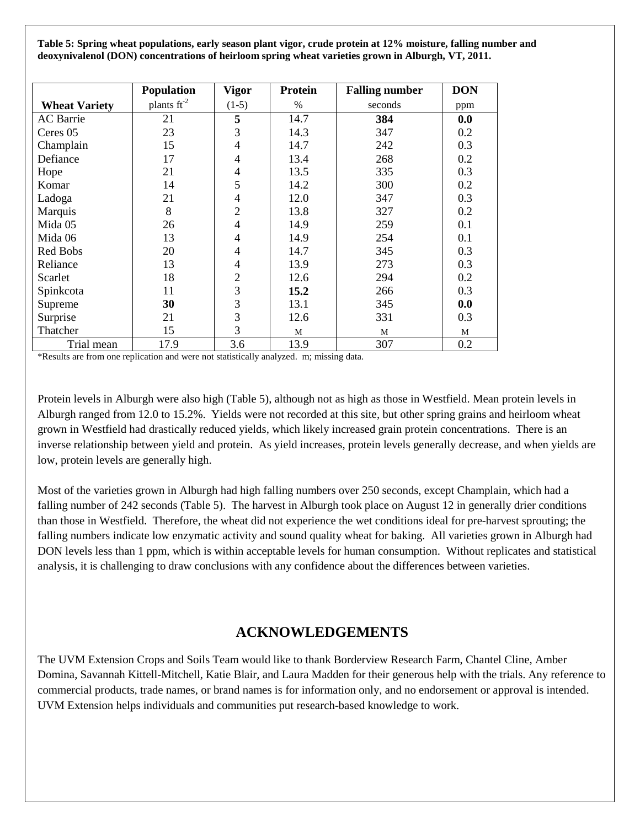**Table 5: Spring wheat populations, early season plant vigor, crude protein at 12% moisture, falling number and deoxynivalenol (DON) concentrations of heirloom spring wheat varieties grown in Alburgh, VT, 2011.**

|                      | <b>Population</b>       | <b>Vigor</b>   | Protein | <b>Falling number</b> | <b>DON</b> |
|----------------------|-------------------------|----------------|---------|-----------------------|------------|
| <b>Wheat Variety</b> | plants $\text{ft}^{-2}$ | $(1-5)$        | $\%$    | seconds               | ppm        |
| <b>AC</b> Barrie     | 21                      | 5              | 14.7    | 384                   | 0.0        |
| Ceres 05             | 23                      | 3              | 14.3    | 347                   | 0.2        |
| Champlain            | 15                      | $\overline{4}$ | 14.7    | 242                   | 0.3        |
| Defiance             | 17                      | $\overline{4}$ | 13.4    | 268                   | 0.2        |
| Hope                 | 21                      | $\overline{4}$ | 13.5    | 335                   | 0.3        |
| Komar                | 14                      | 5              | 14.2    | 300                   | 0.2        |
| Ladoga               | 21                      | 4              | 12.0    | 347                   | 0.3        |
| Marquis              | 8                       | $\overline{2}$ | 13.8    | 327                   | 0.2        |
| Mida 05              | 26                      | $\overline{4}$ | 14.9    | 259                   | 0.1        |
| Mida 06              | 13                      | $\overline{4}$ | 14.9    | 254                   | 0.1        |
| Red Bobs             | 20                      | $\overline{4}$ | 14.7    | 345                   | 0.3        |
| Reliance             | 13                      | $\overline{4}$ | 13.9    | 273                   | 0.3        |
| Scarlet              | 18                      | $\overline{2}$ | 12.6    | 294                   | 0.2        |
| Spinkcota            | 11                      | 3              | 15.2    | 266                   | 0.3        |
| Supreme              | 30                      | 3              | 13.1    | 345                   | 0.0        |
| Surprise             | 21                      | 3              | 12.6    | 331                   | 0.3        |
| Thatcher             | 15                      | 3              | M       | M                     | M          |
| Trial mean           | 17.9                    | 3.6            | 13.9    | 307                   | 0.2        |

\*Results are from one replication and were not statistically analyzed. m; missing data.

Protein levels in Alburgh were also high (Table 5), although not as high as those in Westfield. Mean protein levels in Alburgh ranged from 12.0 to 15.2%. Yields were not recorded at this site, but other spring grains and heirloom wheat grown in Westfield had drastically reduced yields, which likely increased grain protein concentrations. There is an inverse relationship between yield and protein. As yield increases, protein levels generally decrease, and when yields are low, protein levels are generally high.

Most of the varieties grown in Alburgh had high falling numbers over 250 seconds, except Champlain, which had a falling number of 242 seconds (Table 5). The harvest in Alburgh took place on August 12 in generally drier conditions than those in Westfield. Therefore, the wheat did not experience the wet conditions ideal for pre-harvest sprouting; the falling numbers indicate low enzymatic activity and sound quality wheat for baking. All varieties grown in Alburgh had DON levels less than 1 ppm, which is within acceptable levels for human consumption. Without replicates and statistical analysis, it is challenging to draw conclusions with any confidence about the differences between varieties.

### **ACKNOWLEDGEMENTS**

The UVM Extension Crops and Soils Team would like to thank Borderview Research Farm, Chantel Cline, Amber Domina, Savannah Kittell-Mitchell, Katie Blair, and Laura Madden for their generous help with the trials. Any reference to commercial products, trade names, or brand names is for information only, and no endorsement or approval is intended. UVM Extension helps individuals and communities put research-based knowledge to work.